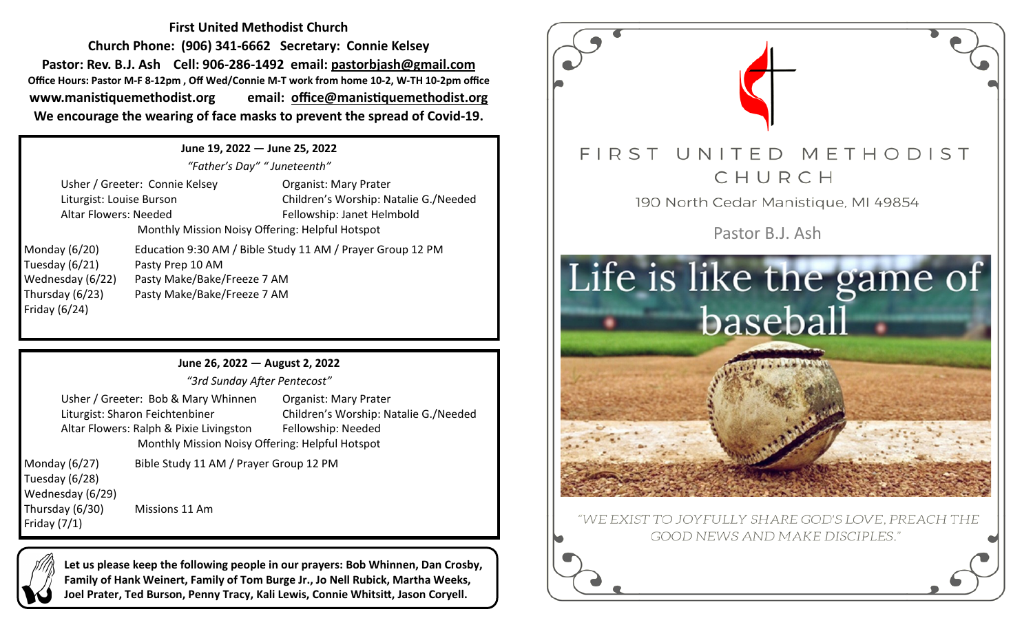**First United Methodist Church Church Phone: (906) 341-6662 Secretary: Connie Kelsey Pastor: Rev. B.J. Ash Cell: 906-286-1492 email: pastorbjash@gmail.com Office Hours: Pastor M-F 8-12pm , Off Wed/Connie M-T work from home 10-2, W-TH 10-2pm office www.manistiquemethodist.org email: office@manistiquemethodist.org We encourage the wearing of face masks to prevent the spread of Covid-19.**

## **June 19, 2022 — June 25, 2022**

*"Father's Day" " Juneteenth"*

Usher / Greeter: Connie Kelsey **Organist: Mary Prater** Altar Flowers: Needed Fellowship: Janet Helmbold

Liturgist: Louise Burson Children's Worship: Natalie G./Needed Monthly Mission Noisy Offering: Helpful Hotspot

Friday (6/24)

Monday (6/20) Education 9:30 AM / Bible Study 11 AM / Prayer Group 12 PM Tuesday (6/21) Pasty Prep 10 AM Wednesday (6/22) Pasty Make/Bake/Freeze 7 AM Thursday (6/23) Pasty Make/Bake/Freeze 7 AM

**June 26, 2022 — August 2, 2022**

*"3rd Sunday After Pentecost"*

Usher / Greeter: Bob & Mary Whinnen Organist: Mary Prater Liturgist: Sharon Feichtenbiner Children's Worship: Natalie G./Needed Altar Flowers: Ralph & Pixie Livingston Fellowship: Needed Monthly Mission Noisy Offering: Helpful Hotspot

Tuesday (6/28) Wednesday (6/29) Thursday (6/30) Missions 11 Am Friday (7/1)

Monday (6/27) Bible Study 11 AM / Prayer Group 12 PM

**Let us please keep the following people in our prayers: Bob Whinnen, Dan Crosby, Family of Hank Weinert, Family of Tom Burge Jr., Jo Nell Rubick, Martha Weeks, Joel Prater, Ted Burson, Penny Tracy, Kali Lewis, Connie Whitsitt, Jason Coryell.**